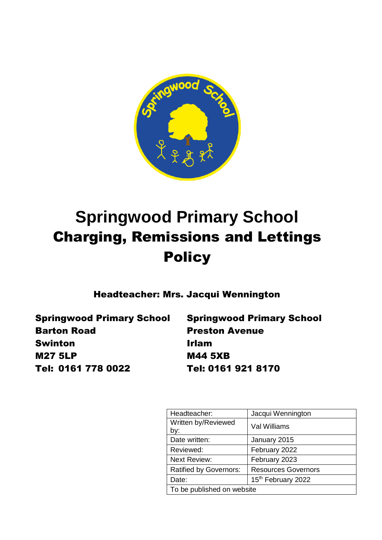

# **Springwood Primary School** Charging, Remissions and Lettings **Policy**

Headteacher: Mrs. Jacqui Wennington

Springwood Primary School Springwood Primary School Barton Road Preston Avenue Swinton **Irlam** M27 5LP M44 5XB Tel: 0161 778 0022 Tel: 0161 921 8170

| Headteacher:                  | Jacqui Wennington          |
|-------------------------------|----------------------------|
| Written by/Reviewed           | Val Williams               |
| by:                           |                            |
| Date written:                 | January 2015               |
| Reviewed:                     | February 2022              |
| <b>Next Review:</b>           | February 2023              |
| <b>Ratified by Governors:</b> | <b>Resources Governors</b> |
| Date:                         | 15th February 2022         |
| To be published on website    |                            |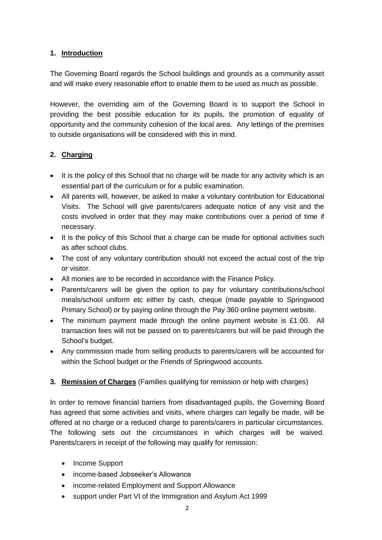#### **1. Introduction**

The Governing Board regards the School buildings and grounds as a community asset and will make every reasonable effort to enable them to be used as much as possible.

However, the overriding aim of the Governing Board is to support the School in providing the best possible education for its pupils, the promotion of equality of opportunity and the community cohesion of the local area. Any lettings of the premises to outside organisations will be considered with this in mind.

#### **2. Charging**

- It is the policy of this School that no charge will be made for any activity which is an essential part of the curriculum or for a public examination.
- All parents will, however, be asked to make a voluntary contribution for Educational Visits. The School will give parents/carers adequate notice of any visit and the costs involved in order that they may make contributions over a period of time if necessary.
- It is the policy of this School that a charge can be made for optional activities such as after school clubs.
- The cost of any voluntary contribution should not exceed the actual cost of the trip or visitor.
- All monies are to be recorded in accordance with the Finance Policy.
- Parents/carers will be given the option to pay for voluntary contributions/school meals/school uniform etc either by cash, cheque (made payable to Springwood Primary School) or by paying online through the Pay 360 online payment website.
- The minimum payment made through the online payment website is £1.00. All transaction fees will not be passed on to parents/carers but will be paid through the School's budget.
- Any commission made from selling products to parents/carers will be accounted for within the School budget or the Friends of Springwood accounts.

#### **3. Remission of Charges** (Families qualifying for remission or help with charges)

In order to remove financial barriers from disadvantaged pupils, the Governing Board has agreed that some activities and visits, where charges can legally be made, will be offered at no charge or a reduced charge to parents/carers in particular circumstances. The following sets out the circumstances in which charges will be waived. Parents/carers in receipt of the following may qualify for remission:

- Income Support
- income-based Jobseeker's Allowance
- income-related Employment and Support Allowance
- support under Part VI of the Immigration and Asylum Act 1999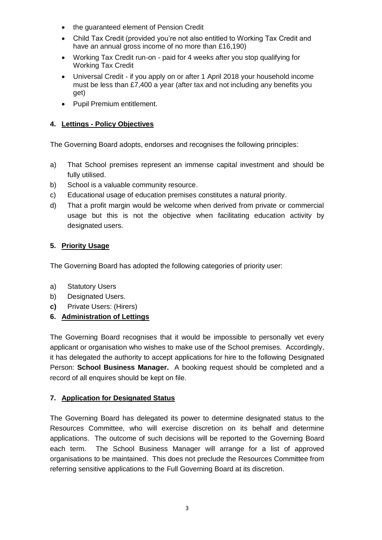- the guaranteed element of Pension Credit
- Child Tax Credit (provided you're not also entitled to Working Tax Credit and have an annual gross income of no more than £16,190)
- Working Tax Credit run-on paid for 4 weeks after you stop qualifying for Working Tax Credit
- Universal Credit if you apply on or after 1 April 2018 your household income must be less than £7,400 a year (after tax and not including any benefits you get)
- Pupil Premium entitlement.

#### **4. Lettings - Policy Objectives**

The Governing Board adopts, endorses and recognises the following principles:

- a) That School premises represent an immense capital investment and should be fully utilised.
- b) School is a valuable community resource.
- c) Educational usage of education premises constitutes a natural priority.
- d) That a profit margin would be welcome when derived from private or commercial usage but this is not the objective when facilitating education activity by designated users.

#### **5. Priority Usage**

The Governing Board has adopted the following categories of priority user:

- a) Statutory Users
- b) Designated Users.
- **c)** Private Users: (Hirers)
- **6. Administration of Lettings**

The Governing Board recognises that it would be impossible to personally vet every applicant or organisation who wishes to make use of the School premises. Accordingly, it has delegated the authority to accept applications for hire to the following Designated Person: **School Business Manager.** A booking request should be completed and a record of all enquires should be kept on file.

#### **7. Application for Designated Status**

The Governing Board has delegated its power to determine designated status to the Resources Committee, who will exercise discretion on its behalf and determine applications. The outcome of such decisions will be reported to the Governing Board each term. The School Business Manager will arrange for a list of approved organisations to be maintained. This does not preclude the Resources Committee from referring sensitive applications to the Full Governing Board at its discretion.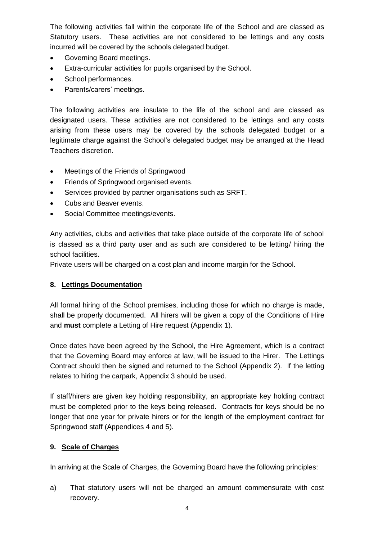The following activities fall within the corporate life of the School and are classed as Statutory users. These activities are not considered to be lettings and any costs incurred will be covered by the schools delegated budget.

- Governing Board meetings.
- Extra-curricular activities for pupils organised by the School.
- School performances.
- Parents/carers' meetings.

The following activities are insulate to the life of the school and are classed as designated users. These activities are not considered to be lettings and any costs arising from these users may be covered by the schools delegated budget or a legitimate charge against the School's delegated budget may be arranged at the Head Teachers discretion.

- Meetings of the Friends of Springwood
- Friends of Springwood organised events.
- Services provided by partner organisations such as SRFT.
- Cubs and Beaver events.
- Social Committee meetings/events.

Any activities, clubs and activities that take place outside of the corporate life of school is classed as a third party user and as such are considered to be letting/ hiring the school facilities.

Private users will be charged on a cost plan and income margin for the School.

#### **8. Lettings Documentation**

All formal hiring of the School premises, including those for which no charge is made, shall be properly documented. All hirers will be given a copy of the Conditions of Hire and **must** complete a Letting of Hire request (Appendix 1).

Once dates have been agreed by the School, the Hire Agreement, which is a contract that the Governing Board may enforce at law, will be issued to the Hirer. The Lettings Contract should then be signed and returned to the School (Appendix 2). If the letting relates to hiring the carpark, Appendix 3 should be used.

If staff/hirers are given key holding responsibility, an appropriate key holding contract must be completed prior to the keys being released. Contracts for keys should be no longer that one year for private hirers or for the length of the employment contract for Springwood staff (Appendices 4 and 5).

#### **9. Scale of Charges**

In arriving at the Scale of Charges, the Governing Board have the following principles:

a) That statutory users will not be charged an amount commensurate with cost recovery.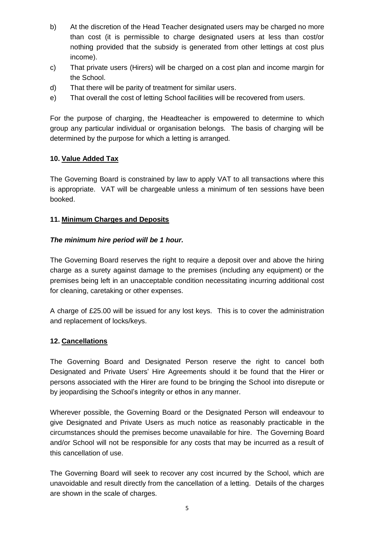- b) At the discretion of the Head Teacher designated users may be charged no more than cost (it is permissible to charge designated users at less than cost/or nothing provided that the subsidy is generated from other lettings at cost plus income).
- c) That private users (Hirers) will be charged on a cost plan and income margin for the School.
- d) That there will be parity of treatment for similar users.
- e) That overall the cost of letting School facilities will be recovered from users.

For the purpose of charging, the Headteacher is empowered to determine to which group any particular individual or organisation belongs. The basis of charging will be determined by the purpose for which a letting is arranged.

#### **10. Value Added Tax**

The Governing Board is constrained by law to apply VAT to all transactions where this is appropriate. VAT will be chargeable unless a minimum of ten sessions have been booked.

#### **11. Minimum Charges and Deposits**

#### *The minimum hire period will be 1 hour.*

The Governing Board reserves the right to require a deposit over and above the hiring charge as a surety against damage to the premises (including any equipment) or the premises being left in an unacceptable condition necessitating incurring additional cost for cleaning, caretaking or other expenses.

A charge of £25.00 will be issued for any lost keys. This is to cover the administration and replacement of locks/keys.

#### **12. Cancellations**

The Governing Board and Designated Person reserve the right to cancel both Designated and Private Users' Hire Agreements should it be found that the Hirer or persons associated with the Hirer are found to be bringing the School into disrepute or by jeopardising the School's integrity or ethos in any manner.

Wherever possible, the Governing Board or the Designated Person will endeavour to give Designated and Private Users as much notice as reasonably practicable in the circumstances should the premises become unavailable for hire. The Governing Board and/or School will not be responsible for any costs that may be incurred as a result of this cancellation of use.

The Governing Board will seek to recover any cost incurred by the School, which are unavoidable and result directly from the cancellation of a letting. Details of the charges are shown in the scale of charges.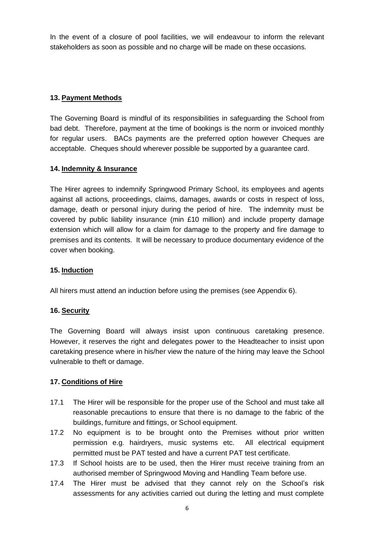In the event of a closure of pool facilities, we will endeavour to inform the relevant stakeholders as soon as possible and no charge will be made on these occasions.

#### **13. Payment Methods**

The Governing Board is mindful of its responsibilities in safeguarding the School from bad debt. Therefore, payment at the time of bookings is the norm or invoiced monthly for regular users. BACs payments are the preferred option however Cheques are acceptable. Cheques should wherever possible be supported by a guarantee card.

#### **14. Indemnity & Insurance**

The Hirer agrees to indemnify Springwood Primary School, its employees and agents against all actions, proceedings, claims, damages, awards or costs in respect of loss, damage, death or personal injury during the period of hire. The indemnity must be covered by public liability insurance (min £10 million) and include property damage extension which will allow for a claim for damage to the property and fire damage to premises and its contents. It will be necessary to produce documentary evidence of the cover when booking.

#### **15. Induction**

All hirers must attend an induction before using the premises (see Appendix 6).

#### **16. Security**

The Governing Board will always insist upon continuous caretaking presence. However, it reserves the right and delegates power to the Headteacher to insist upon caretaking presence where in his/her view the nature of the hiring may leave the School vulnerable to theft or damage.

#### **17. Conditions of Hire**

- 17.1 The Hirer will be responsible for the proper use of the School and must take all reasonable precautions to ensure that there is no damage to the fabric of the buildings, furniture and fittings, or School equipment.
- 17.2 No equipment is to be brought onto the Premises without prior written permission e.g. hairdryers, music systems etc. All electrical equipment permitted must be PAT tested and have a current PAT test certificate.
- 17.3 If School hoists are to be used, then the Hirer must receive training from an authorised member of Springwood Moving and Handling Team before use.
- 17.4 The Hirer must be advised that they cannot rely on the School's risk assessments for any activities carried out during the letting and must complete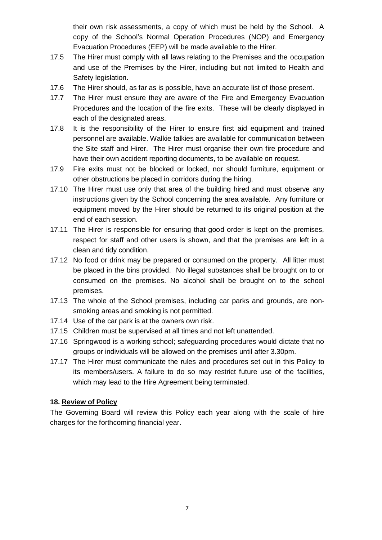their own risk assessments, a copy of which must be held by the School. A copy of the School's Normal Operation Procedures (NOP) and Emergency Evacuation Procedures (EEP) will be made available to the Hirer.

- 17.5 The Hirer must comply with all laws relating to the Premises and the occupation and use of the Premises by the Hirer, including but not limited to Health and Safety legislation.
- 17.6 The Hirer should, as far as is possible, have an accurate list of those present.
- 17.7 The Hirer must ensure they are aware of the Fire and Emergency Evacuation Procedures and the location of the fire exits. These will be clearly displayed in each of the designated areas.
- 17.8 It is the responsibility of the Hirer to ensure first aid equipment and trained personnel are available. Walkie talkies are available for communication between the Site staff and Hirer. The Hirer must organise their own fire procedure and have their own accident reporting documents, to be available on request.
- 17.9 Fire exits must not be blocked or locked, nor should furniture, equipment or other obstructions be placed in corridors during the hiring.
- 17.10 The Hirer must use only that area of the building hired and must observe any instructions given by the School concerning the area available. Any furniture or equipment moved by the Hirer should be returned to its original position at the end of each session.
- 17.11 The Hirer is responsible for ensuring that good order is kept on the premises, respect for staff and other users is shown, and that the premises are left in a clean and tidy condition.
- 17.12 No food or drink may be prepared or consumed on the property. All litter must be placed in the bins provided. No illegal substances shall be brought on to or consumed on the premises. No alcohol shall be brought on to the school premises.
- 17.13 The whole of the School premises, including car parks and grounds, are nonsmoking areas and smoking is not permitted.
- 17.14 Use of the car park is at the owners own risk.
- 17.15 Children must be supervised at all times and not left unattended.
- 17.16 Springwood is a working school; safeguarding procedures would dictate that no groups or individuals will be allowed on the premises until after 3.30pm.
- 17.17 The Hirer must communicate the rules and procedures set out in this Policy to its members/users. A failure to do so may restrict future use of the facilities, which may lead to the Hire Agreement being terminated.

#### **18. Review of Policy**

The Governing Board will review this Policy each year along with the scale of hire charges for the forthcoming financial year.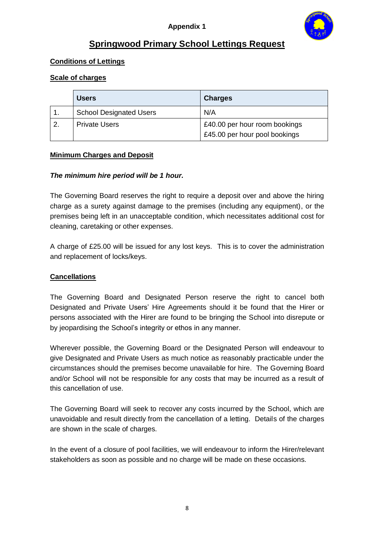

## **Springwood Primary School Lettings Request**

#### **Conditions of Lettings**

#### **Scale of charges**

|   | <b>Users</b>                   | <b>Charges</b>                |
|---|--------------------------------|-------------------------------|
|   | <b>School Designated Users</b> | N/A                           |
| 2 | <b>Private Users</b>           | £40.00 per hour room bookings |
|   |                                | £45.00 per hour pool bookings |

#### **Minimum Charges and Deposit**

#### *The minimum hire period will be 1 hour.*

The Governing Board reserves the right to require a deposit over and above the hiring charge as a surety against damage to the premises (including any equipment), or the premises being left in an unacceptable condition, which necessitates additional cost for cleaning, caretaking or other expenses.

A charge of £25.00 will be issued for any lost keys. This is to cover the administration and replacement of locks/keys.

#### **Cancellations**

The Governing Board and Designated Person reserve the right to cancel both Designated and Private Users' Hire Agreements should it be found that the Hirer or persons associated with the Hirer are found to be bringing the School into disrepute or by jeopardising the School's integrity or ethos in any manner.

Wherever possible, the Governing Board or the Designated Person will endeavour to give Designated and Private Users as much notice as reasonably practicable under the circumstances should the premises become unavailable for hire. The Governing Board and/or School will not be responsible for any costs that may be incurred as a result of this cancellation of use.

The Governing Board will seek to recover any costs incurred by the School, which are unavoidable and result directly from the cancellation of a letting. Details of the charges are shown in the scale of charges.

In the event of a closure of pool facilities, we will endeavour to inform the Hirer/relevant stakeholders as soon as possible and no charge will be made on these occasions.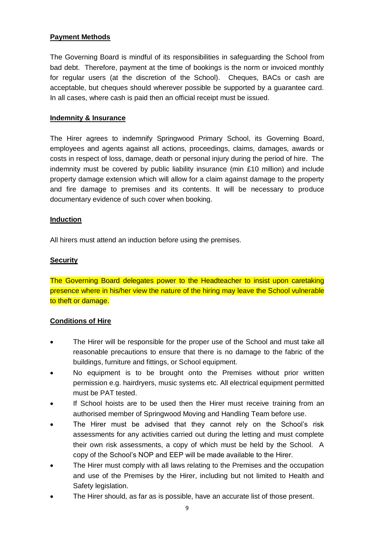#### **Payment Methods**

The Governing Board is mindful of its responsibilities in safeguarding the School from bad debt. Therefore, payment at the time of bookings is the norm or invoiced monthly for regular users (at the discretion of the School). Cheques, BACs or cash are acceptable, but cheques should wherever possible be supported by a guarantee card. In all cases, where cash is paid then an official receipt must be issued.

#### **Indemnity & Insurance**

The Hirer agrees to indemnify Springwood Primary School, its Governing Board, employees and agents against all actions, proceedings, claims, damages, awards or costs in respect of loss, damage, death or personal injury during the period of hire. The indemnity must be covered by public liability insurance (min £10 million) and include property damage extension which will allow for a claim against damage to the property and fire damage to premises and its contents. It will be necessary to produce documentary evidence of such cover when booking.

#### **Induction**

All hirers must attend an induction before using the premises.

#### **Security**

The Governing Board delegates power to the Headteacher to insist upon caretaking presence where in his/her view the nature of the hiring may leave the School vulnerable to theft or damage.

#### **Conditions of Hire**

- The Hirer will be responsible for the proper use of the School and must take all reasonable precautions to ensure that there is no damage to the fabric of the buildings, furniture and fittings, or School equipment.
- No equipment is to be brought onto the Premises without prior written permission e.g. hairdryers, music systems etc. All electrical equipment permitted must be PAT tested.
- If School hoists are to be used then the Hirer must receive training from an authorised member of Springwood Moving and Handling Team before use.
- The Hirer must be advised that they cannot rely on the School's risk assessments for any activities carried out during the letting and must complete their own risk assessments, a copy of which must be held by the School. A copy of the School's NOP and EEP will be made available to the Hirer.
- The Hirer must comply with all laws relating to the Premises and the occupation and use of the Premises by the Hirer, including but not limited to Health and Safety legislation.
- The Hirer should, as far as is possible, have an accurate list of those present.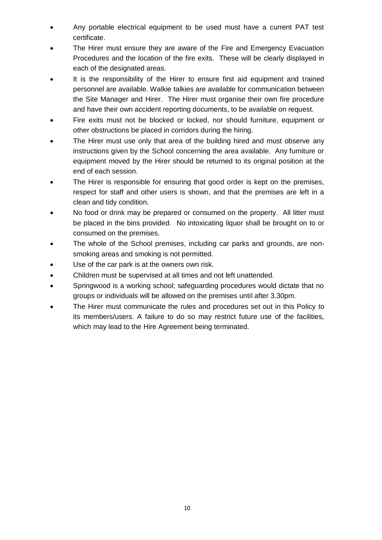- Any portable electrical equipment to be used must have a current PAT test certificate.
- The Hirer must ensure they are aware of the Fire and Emergency Evacuation Procedures and the location of the fire exits. These will be clearly displayed in each of the designated areas.
- It is the responsibility of the Hirer to ensure first aid equipment and trained personnel are available. Walkie talkies are available for communication between the Site Manager and Hirer. The Hirer must organise their own fire procedure and have their own accident reporting documents, to be available on request.
- Fire exits must not be blocked or locked, nor should furniture, equipment or other obstructions be placed in corridors during the hiring.
- The Hirer must use only that area of the building hired and must observe any instructions given by the School concerning the area available. Any furniture or equipment moved by the Hirer should be returned to its original position at the end of each session.
- The Hirer is responsible for ensuring that good order is kept on the premises, respect for staff and other users is shown, and that the premises are left in a clean and tidy condition.
- No food or drink may be prepared or consumed on the property. All litter must be placed in the bins provided. No intoxicating liquor shall be brought on to or consumed on the premises.
- The whole of the School premises, including car parks and grounds, are nonsmoking areas and smoking is not permitted.
- Use of the car park is at the owners own risk.
- Children must be supervised at all times and not left unattended.
- Springwood is a working school; safeguarding procedures would dictate that no groups or individuals will be allowed on the premises until after 3.30pm.
- The Hirer must communicate the rules and procedures set out in this Policy to its members/users. A failure to do so may restrict future use of the facilities, which may lead to the Hire Agreement being terminated.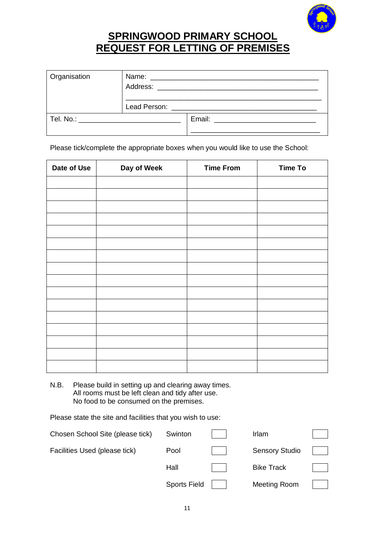

# **SPRINGWOOD PRIMARY SCHOOL REQUEST FOR LETTING OF PREMISES**

| Organisation                     |  |                                                                                                                                                                                                                                |
|----------------------------------|--|--------------------------------------------------------------------------------------------------------------------------------------------------------------------------------------------------------------------------------|
|                                  |  |                                                                                                                                                                                                                                |
| Tel. No.: ______________________ |  | Email: Email: Email: Email: Email: Email: Email: Email: Email: Email: Email: Email: Email: Email: Email: Email: Email: Email: Email: Email: Email: Email: Email: Email: Email: Email: Email: Email: Email: Email: Email: Email |

Please tick/complete the appropriate boxes when you would like to use the School:

| Date of Use | Day of Week | <b>Time From</b> | <b>Time To</b> |
|-------------|-------------|------------------|----------------|
|             |             |                  |                |
|             |             |                  |                |
|             |             |                  |                |
|             |             |                  |                |
|             |             |                  |                |
|             |             |                  |                |
|             |             |                  |                |
|             |             |                  |                |
|             |             |                  |                |
|             |             |                  |                |
|             |             |                  |                |
|             |             |                  |                |
|             |             |                  |                |
|             |             |                  |                |
|             |             |                  |                |
|             |             |                  |                |

N.B. Please build in setting up and clearing away times. All rooms must be left clean and tidy after use. No food to be consumed on the premises.

Please state the site and facilities that you wish to use:

| Chosen School Site (please tick) | Swinton             | Irlam                 |  |
|----------------------------------|---------------------|-----------------------|--|
| Facilities Used (please tick)    | Pool                | <b>Sensory Studio</b> |  |
|                                  | Hall                | <b>Bike Track</b>     |  |
|                                  | <b>Sports Field</b> | Meeting Room          |  |
|                                  |                     |                       |  |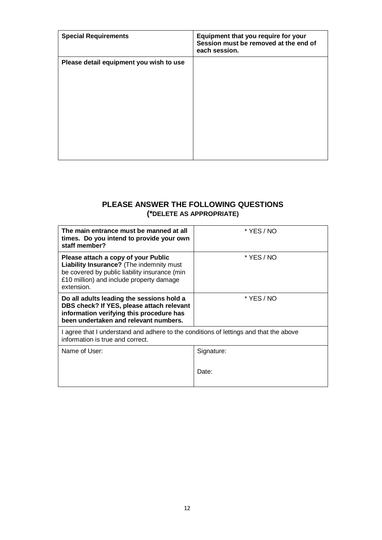| <b>Special Requirements</b>             | Equipment that you require for your<br>Session must be removed at the end of<br>each session. |
|-----------------------------------------|-----------------------------------------------------------------------------------------------|
| Please detail equipment you wish to use |                                                                                               |
|                                         |                                                                                               |

#### **PLEASE ANSWER THE FOLLOWING QUESTIONS (\*DELETE AS APPROPRIATE)**

| The main entrance must be manned at all<br>times. Do you intend to provide your own<br>staff member?                                                                                       | * YES / NO |
|--------------------------------------------------------------------------------------------------------------------------------------------------------------------------------------------|------------|
| Please attach a copy of your Public<br>Liability Insurance? (The indemnity must<br>be covered by public liability insurance (min<br>£10 million) and include property damage<br>extension. | * YES / NO |
| Do all adults leading the sessions hold a<br>DBS check? If YES, please attach relevant<br>information verifying this procedure has<br>been undertaken and relevant numbers.                | * YES / NO |
| I agree that I understand and adhere to the conditions of lettings and that the above<br>information is true and correct.                                                                  |            |
| Name of User:                                                                                                                                                                              | Signature: |
|                                                                                                                                                                                            | Date:      |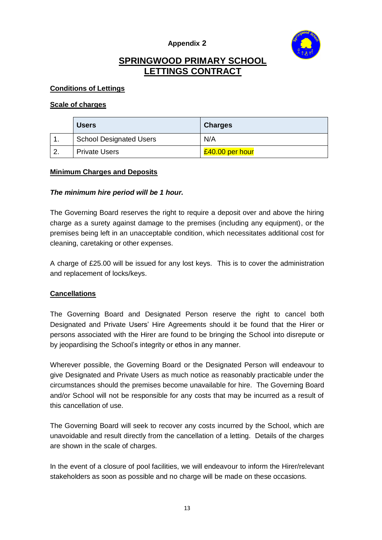

## **SPRINGWOOD PRIMARY SCHOOL LETTINGS CONTRACT**

#### **Conditions of Lettings**

#### **Scale of charges**

| <b>Users</b>                   | <b>Charges</b>  |
|--------------------------------|-----------------|
| <b>School Designated Users</b> | N/A             |
| <b>Private Users</b>           | £40.00 per hour |

#### **Minimum Charges and Deposits**

#### *The minimum hire period will be 1 hour.*

The Governing Board reserves the right to require a deposit over and above the hiring charge as a surety against damage to the premises (including any equipment), or the premises being left in an unacceptable condition, which necessitates additional cost for cleaning, caretaking or other expenses.

A charge of £25.00 will be issued for any lost keys. This is to cover the administration and replacement of locks/keys.

#### **Cancellations**

The Governing Board and Designated Person reserve the right to cancel both Designated and Private Users' Hire Agreements should it be found that the Hirer or persons associated with the Hirer are found to be bringing the School into disrepute or by jeopardising the School's integrity or ethos in any manner.

Wherever possible, the Governing Board or the Designated Person will endeavour to give Designated and Private Users as much notice as reasonably practicable under the circumstances should the premises become unavailable for hire. The Governing Board and/or School will not be responsible for any costs that may be incurred as a result of this cancellation of use.

The Governing Board will seek to recover any costs incurred by the School, which are unavoidable and result directly from the cancellation of a letting. Details of the charges are shown in the scale of charges.

In the event of a closure of pool facilities, we will endeavour to inform the Hirer/relevant stakeholders as soon as possible and no charge will be made on these occasions.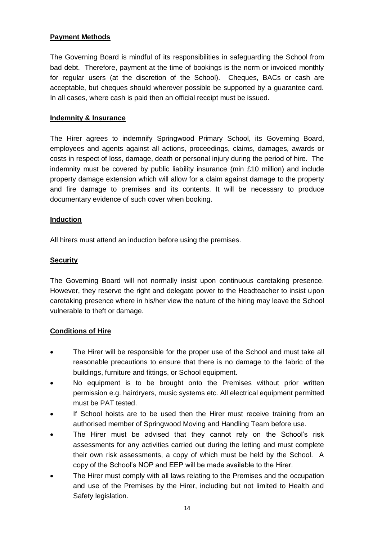#### **Payment Methods**

The Governing Board is mindful of its responsibilities in safeguarding the School from bad debt. Therefore, payment at the time of bookings is the norm or invoiced monthly for regular users (at the discretion of the School). Cheques, BACs or cash are acceptable, but cheques should wherever possible be supported by a guarantee card. In all cases, where cash is paid then an official receipt must be issued.

#### **Indemnity & Insurance**

The Hirer agrees to indemnify Springwood Primary School, its Governing Board, employees and agents against all actions, proceedings, claims, damages, awards or costs in respect of loss, damage, death or personal injury during the period of hire. The indemnity must be covered by public liability insurance (min £10 million) and include property damage extension which will allow for a claim against damage to the property and fire damage to premises and its contents. It will be necessary to produce documentary evidence of such cover when booking.

#### **Induction**

All hirers must attend an induction before using the premises.

#### **Security**

The Governing Board will not normally insist upon continuous caretaking presence. However, they reserve the right and delegate power to the Headteacher to insist upon caretaking presence where in his/her view the nature of the hiring may leave the School vulnerable to theft or damage.

#### **Conditions of Hire**

- The Hirer will be responsible for the proper use of the School and must take all reasonable precautions to ensure that there is no damage to the fabric of the buildings, furniture and fittings, or School equipment.
- No equipment is to be brought onto the Premises without prior written permission e.g. hairdryers, music systems etc. All electrical equipment permitted must be PAT tested.
- If School hoists are to be used then the Hirer must receive training from an authorised member of Springwood Moving and Handling Team before use.
- The Hirer must be advised that they cannot rely on the School's risk assessments for any activities carried out during the letting and must complete their own risk assessments, a copy of which must be held by the School. A copy of the School's NOP and EEP will be made available to the Hirer.
- The Hirer must comply with all laws relating to the Premises and the occupation and use of the Premises by the Hirer, including but not limited to Health and Safety legislation.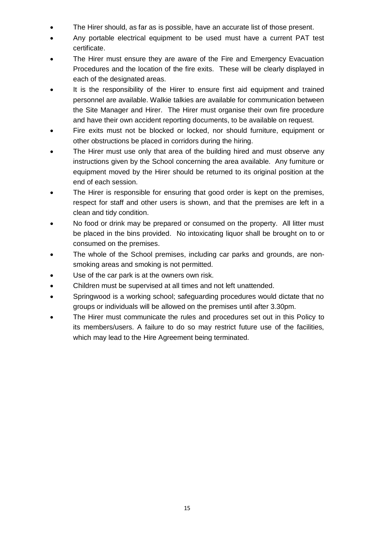- The Hirer should, as far as is possible, have an accurate list of those present.
- Any portable electrical equipment to be used must have a current PAT test certificate.
- The Hirer must ensure they are aware of the Fire and Emergency Evacuation Procedures and the location of the fire exits. These will be clearly displayed in each of the designated areas.
- It is the responsibility of the Hirer to ensure first aid equipment and trained personnel are available. Walkie talkies are available for communication between the Site Manager and Hirer. The Hirer must organise their own fire procedure and have their own accident reporting documents, to be available on request.
- Fire exits must not be blocked or locked, nor should furniture, equipment or other obstructions be placed in corridors during the hiring.
- The Hirer must use only that area of the building hired and must observe any instructions given by the School concerning the area available. Any furniture or equipment moved by the Hirer should be returned to its original position at the end of each session.
- The Hirer is responsible for ensuring that good order is kept on the premises, respect for staff and other users is shown, and that the premises are left in a clean and tidy condition.
- No food or drink may be prepared or consumed on the property. All litter must be placed in the bins provided. No intoxicating liquor shall be brought on to or consumed on the premises.
- The whole of the School premises, including car parks and grounds, are nonsmoking areas and smoking is not permitted.
- Use of the car park is at the owners own risk.
- Children must be supervised at all times and not left unattended.
- Springwood is a working school; safeguarding procedures would dictate that no groups or individuals will be allowed on the premises until after 3.30pm.
- The Hirer must communicate the rules and procedures set out in this Policy to its members/users. A failure to do so may restrict future use of the facilities, which may lead to the Hire Agreement being terminated.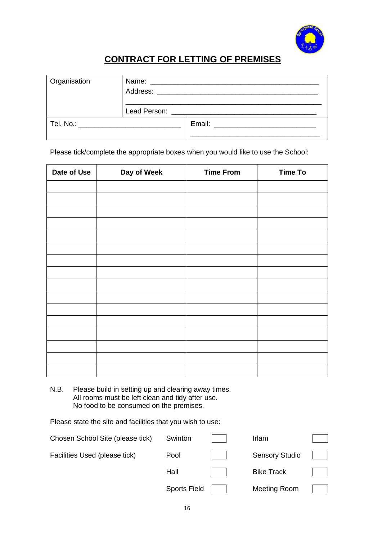

## **CONTRACT FOR LETTING OF PREMISES**

| Organisation                        |  |  |
|-------------------------------------|--|--|
|                                     |  |  |
| Tel. No.: _________________________ |  |  |

Please tick/complete the appropriate boxes when you would like to use the School:

| Date of Use | Day of Week | <b>Time From</b> | <b>Time To</b> |
|-------------|-------------|------------------|----------------|
|             |             |                  |                |
|             |             |                  |                |
|             |             |                  |                |
|             |             |                  |                |
|             |             |                  |                |
|             |             |                  |                |
|             |             |                  |                |
|             |             |                  |                |
|             |             |                  |                |
|             |             |                  |                |
|             |             |                  |                |
|             |             |                  |                |
|             |             |                  |                |
|             |             |                  |                |
|             |             |                  |                |
|             |             |                  |                |

N.B. Please build in setting up and clearing away times. All rooms must be left clean and tidy after use. No food to be consumed on the premises.

Please state the site and facilities that you wish to use:

| Swinton             | Irlam                 |  |
|---------------------|-----------------------|--|
| Pool                | <b>Sensory Studio</b> |  |
| Hall                | <b>Bike Track</b>     |  |
| <b>Sports Field</b> | Meeting Room          |  |
|                     |                       |  |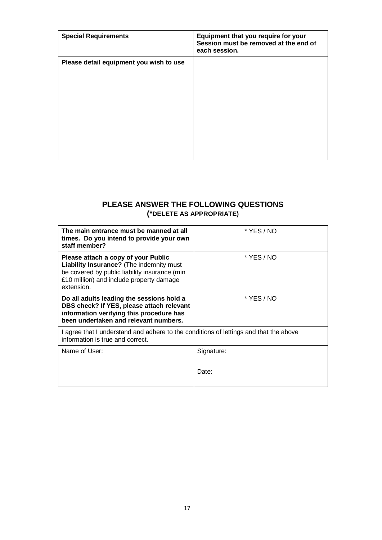| <b>Special Requirements</b>             | Equipment that you require for your<br>Session must be removed at the end of<br>each session. |
|-----------------------------------------|-----------------------------------------------------------------------------------------------|
| Please detail equipment you wish to use |                                                                                               |
|                                         |                                                                                               |

#### **PLEASE ANSWER THE FOLLOWING QUESTIONS (\*DELETE AS APPROPRIATE)**

| The main entrance must be manned at all<br>times. Do you intend to provide your own<br>staff member?                                                                                       | * YES / NO |
|--------------------------------------------------------------------------------------------------------------------------------------------------------------------------------------------|------------|
| Please attach a copy of your Public<br>Liability Insurance? (The indemnity must<br>be covered by public liability insurance (min<br>£10 million) and include property damage<br>extension. | * YES / NO |
| Do all adults leading the sessions hold a<br>DBS check? If YES, please attach relevant<br>information verifying this procedure has<br>been undertaken and relevant numbers.                | * YES / NO |
| I agree that I understand and adhere to the conditions of lettings and that the above<br>information is true and correct.                                                                  |            |
| Name of User:                                                                                                                                                                              | Signature: |
|                                                                                                                                                                                            | Date:      |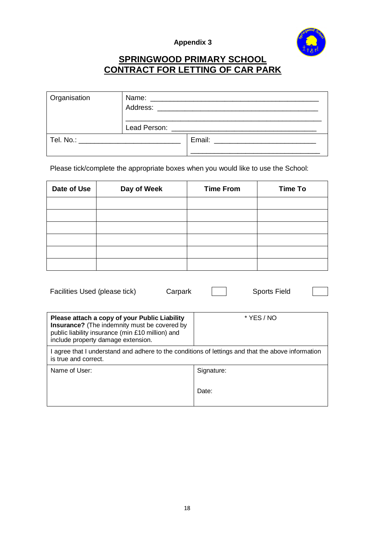

## **SPRINGWOOD PRIMARY SCHOOL CONTRACT FOR LETTING OF CAR PARK**

| Organisation                            |  |  |
|-----------------------------------------|--|--|
|                                         |  |  |
| Tel. No.: _____________________________ |  |  |

Please tick/complete the appropriate boxes when you would like to use the School:

| Date of Use | Day of Week | <b>Time From</b> | <b>Time To</b> |
|-------------|-------------|------------------|----------------|
|             |             |                  |                |
|             |             |                  |                |
|             |             |                  |                |
|             |             |                  |                |
|             |             |                  |                |
|             |             |                  |                |

| Facilities Used (please tick)<br>Carpark                                                                                                                                                       | <b>Sports Field</b> |
|------------------------------------------------------------------------------------------------------------------------------------------------------------------------------------------------|---------------------|
| Please attach a copy of your Public Liability<br><b>Insurance?</b> (The indemnity must be covered by<br>public liability insurance (min £10 million) and<br>include property damage extension. | * YES / NO          |
| I agree that I understand and adhere to the conditions of lettings and that the above information<br>is true and correct.                                                                      |                     |
| Name of User:                                                                                                                                                                                  | Signature:          |
|                                                                                                                                                                                                | Date:               |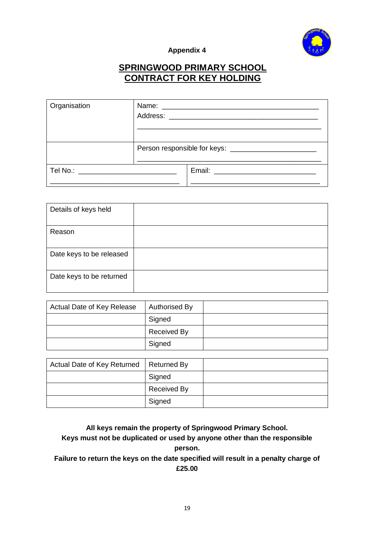

### **SPRINGWOOD PRIMARY SCHOOL CONTRACT FOR KEY HOLDING**

| Organisation                  |  |                           |
|-------------------------------|--|---------------------------|
|                               |  |                           |
| Tel No.: ____________________ |  | Email: __________________ |

| Details of keys held     |  |
|--------------------------|--|
| Reason                   |  |
| Date keys to be released |  |
| Date keys to be returned |  |

| Actual Date of Key Release | Authorised By      |  |
|----------------------------|--------------------|--|
|                            | Signed             |  |
|                            | <b>Received By</b> |  |
|                            | Signed             |  |

| Actual Date of Key Returned | Returned By        |  |
|-----------------------------|--------------------|--|
|                             | Signed             |  |
|                             | <b>Received By</b> |  |
|                             | Signed             |  |

**All keys remain the property of Springwood Primary School. Keys must not be duplicated or used by anyone other than the responsible person. Failure to return the keys on the date specified will result in a penalty charge of** 

**£25.00**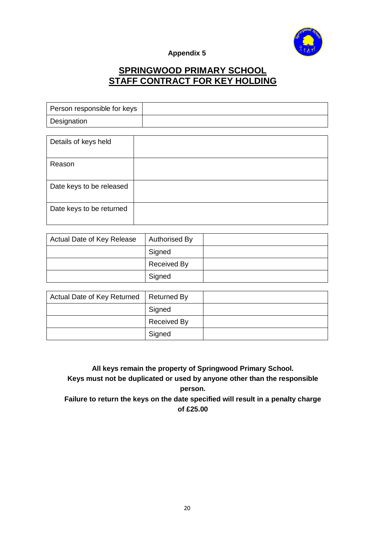

## **SPRINGWOOD PRIMARY SCHOOL STAFF CONTRACT FOR KEY HOLDING**

| Person responsible for keys |  |
|-----------------------------|--|
| Designation                 |  |

| Details of keys held     |  |
|--------------------------|--|
| Reason                   |  |
| Date keys to be released |  |
| Date keys to be returned |  |

| Actual Date of Key Release | Authorised By      |  |
|----------------------------|--------------------|--|
|                            | Signed             |  |
|                            | <b>Received By</b> |  |
|                            | Signed             |  |

| Actual Date of Key Returned | Returned By        |  |
|-----------------------------|--------------------|--|
|                             | Signed             |  |
|                             | <b>Received By</b> |  |
|                             | Signed             |  |

**All keys remain the property of Springwood Primary School. Keys must not be duplicated or used by anyone other than the responsible person. Failure to return the keys on the date specified will result in a penalty charge** 

**of £25.00**